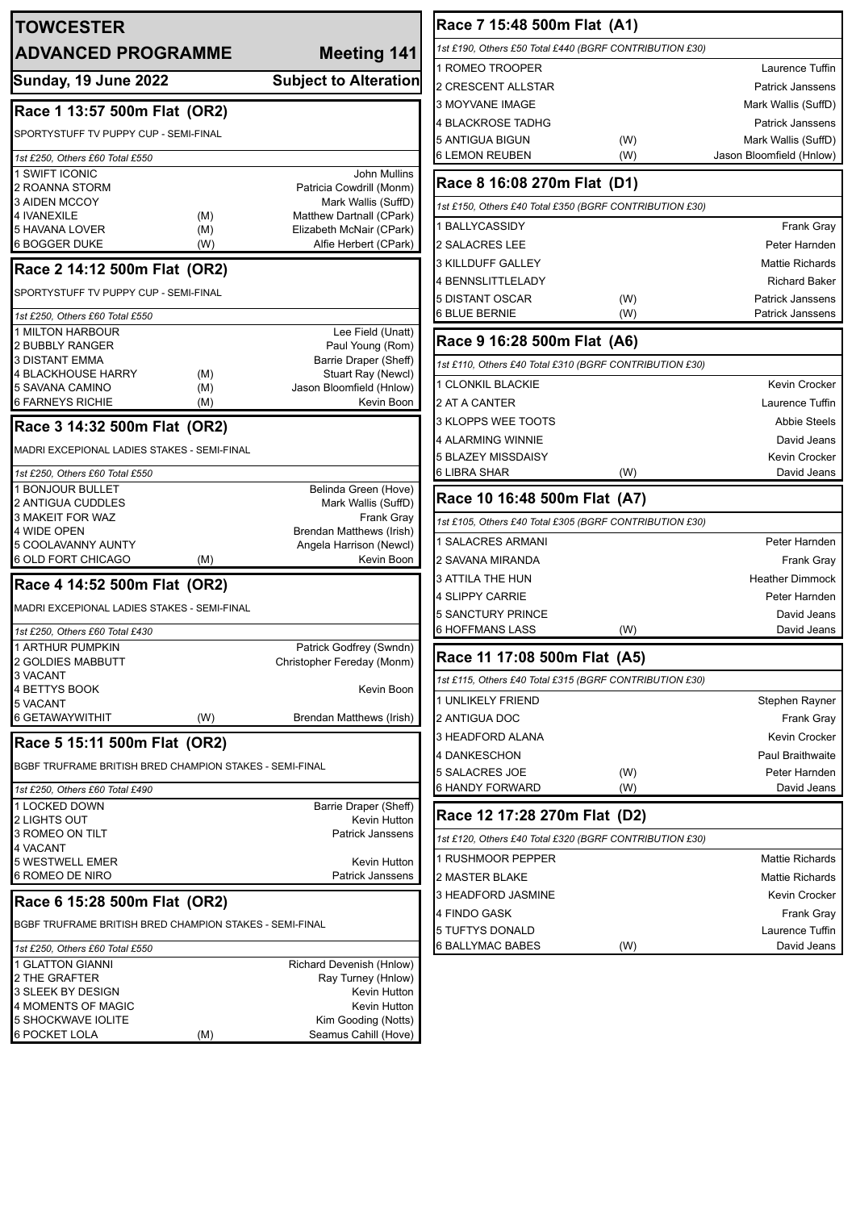| <b>TOWCESTER</b>                                          |                                                       | Race 7 15:48 500m Flat (A1)                             |     |                          |
|-----------------------------------------------------------|-------------------------------------------------------|---------------------------------------------------------|-----|--------------------------|
| <b>ADVANCED PROGRAMME</b>                                 | <b>Meeting 141</b>                                    | 1st £190, Others £50 Total £440 (BGRF CONTRIBUTION £30) |     |                          |
|                                                           |                                                       | 1 ROMEO TROOPER                                         |     | Laurence Tuffin          |
| <b>Sunday, 19 June 2022</b>                               | <b>Subject to Alteration</b>                          | 2 CRESCENT ALLSTAR                                      |     | Patrick Janssens         |
|                                                           |                                                       | 3 MOYVANE IMAGE                                         |     | Mark Wallis (SuffD)      |
| Race 1 13:57 500m Flat (OR2)                              |                                                       | 4 BLACKROSE TADHG                                       |     | <b>Patrick Janssens</b>  |
| SPORTYSTUFF TV PUPPY CUP - SEMI-FINAL                     |                                                       | 5 ANTIGUA BIGUN                                         | (W) | Mark Wallis (SuffD)      |
| 1st £250, Others £60 Total £550                           |                                                       | <b>6 LEMON REUBEN</b>                                   | (W) | Jason Bloomfield (Hnlow) |
| 1 SWIFT ICONIC                                            | <b>John Mullins</b>                                   |                                                         |     |                          |
| 2 ROANNA STORM                                            | Patricia Cowdrill (Monm)                              | Race 8 16:08 270m Flat (D1)                             |     |                          |
| <b>3 AIDEN MCCOY</b><br>4 IVANEXILE<br>(M)                | Mark Wallis (SuffD)<br>Matthew Dartnall (CPark)       | 1st £150, Others £40 Total £350 (BGRF CONTRIBUTION £30) |     |                          |
| 5 HAVANA LOVER<br>(M)                                     | Elizabeth McNair (CPark)                              | 1 BALLYCASSIDY                                          |     | Frank Gray               |
| <b>6 BOGGER DUKE</b><br>(W)                               | Alfie Herbert (CPark)                                 | 2 SALACRES LEE                                          |     | Peter Harnden            |
| Race 2 14:12 500m Flat (OR2)                              |                                                       | 3 KILLDUFF GALLEY                                       |     | <b>Mattie Richards</b>   |
|                                                           |                                                       | 4 BENNSLITTLELADY                                       |     | <b>Richard Baker</b>     |
| SPORTYSTUFF TV PUPPY CUP - SEMI-FINAL                     |                                                       | 5 DISTANT OSCAR                                         | (W) | Patrick Janssens         |
| 1st £250, Others £60 Total £550                           |                                                       | 6 BLUE BERNIE                                           | (W) | Patrick Janssens         |
| 1 MILTON HARBOUR                                          | Lee Field (Unatt)                                     |                                                         |     |                          |
| 2 BUBBLY RANGER                                           | Paul Young (Rom)                                      | Race 9 16:28 500m Flat (A6)                             |     |                          |
| <b>3 DISTANT EMMA</b><br><b>4 BLACKHOUSE HARRY</b><br>(M) | Barrie Draper (Sheff)<br>Stuart Ray (Newcl)           | 1st £110, Others £40 Total £310 (BGRF CONTRIBUTION £30) |     |                          |
| 5 SAVANA CAMINO<br>(M)                                    | Jason Bloomfield (Hnlow)                              | 1 CLONKIL BLACKIE                                       |     | Kevin Crocker            |
| <b>6 FARNEYS RICHIE</b><br>(M)                            | Kevin Boon                                            | 2 AT A CANTER                                           |     | Laurence Tuffin          |
| Race 3 14:32 500m Flat (OR2)                              |                                                       | 3 KLOPPS WEE TOOTS                                      |     | <b>Abbie Steels</b>      |
|                                                           |                                                       | 4 ALARMING WINNIE                                       |     | David Jeans              |
| MADRI EXCEPIONAL LADIES STAKES - SEMI-FINAL               |                                                       | 5 BLAZEY MISSDAISY                                      |     | Kevin Crocker            |
| 1st £250, Others £60 Total £550                           |                                                       | <b>6 LIBRA SHAR</b>                                     | (W) | David Jeans              |
| 1 BONJOUR BULLET                                          | Belinda Green (Hove)                                  | Race 10 16:48 500m Flat (A7)                            |     |                          |
| 2 ANTIGUA CUDDLES<br>3 MAKEIT FOR WAZ                     | Mark Wallis (SuffD)<br><b>Frank Gray</b>              |                                                         |     |                          |
| 4 WIDE OPEN                                               | Brendan Matthews (Irish)                              | 1st £105, Others £40 Total £305 (BGRF CONTRIBUTION £30) |     |                          |
| 5 COOLAVANNY AUNTY                                        | Angela Harrison (Newcl)                               | 1 SALACRES ARMANI                                       |     | Peter Harnden            |
| 6 OLD FORT CHICAGO<br>(M)                                 | Kevin Boon                                            | 2 SAVANA MIRANDA                                        |     | Frank Gray               |
| Race 4 14:52 500m Flat (OR2)                              |                                                       | <b>3 ATTILA THE HUN</b>                                 |     | <b>Heather Dimmock</b>   |
| MADRI EXCEPIONAL LADIES STAKES - SEMI-FINAL               |                                                       | 4 SLIPPY CARRIE                                         |     | Peter Harnden            |
|                                                           |                                                       | 5 SANCTURY PRINCE                                       |     | David Jeans              |
| 1st £250, Others £60 Total £430                           |                                                       | <b>6 HOFFMANS LASS</b>                                  | (W) | David Jeans              |
| 1 ARTHUR PUMPKIN<br>2 GOLDIES MABBUTT                     | Patrick Godfrey (Swndn)<br>Christopher Fereday (Monm) | Race 11 17:08 500m Flat (A5)                            |     |                          |
| 3 VACANT                                                  |                                                       | 1st £115, Others £40 Total £315 (BGRF CONTRIBUTION £30) |     |                          |
| 4 BETTYS BOOK                                             | Kevin Boon                                            | 1 UNLIKELY FRIEND                                       |     | Stephen Rayner           |
| <b>5 VACANT</b><br>6 GETAWAYWITHIT<br>(W)                 | Brendan Matthews (Irish)                              | 2 ANTIGUA DOC                                           |     | Frank Gray               |
|                                                           |                                                       | 3 HEADFORD ALANA                                        |     | Kevin Crocker            |
| Race 5 15:11 500m Flat (OR2)                              |                                                       | 4 DANKESCHON                                            |     | Paul Braithwaite         |
| BGBF TRUFRAME BRITISH BRED CHAMPION STAKES - SEMI-FINAL   |                                                       | 5 SALACRES JOE                                          | (W) | Peter Harnden            |
| 1st £250, Others £60 Total £490                           |                                                       | <b>6 HANDY FORWARD</b>                                  | (W) | David Jeans              |
| 1 LOCKED DOWN                                             | Barrie Draper (Sheff)                                 |                                                         |     |                          |
| 2 LIGHTS OUT                                              | Kevin Hutton                                          | Race 12 17:28 270m Flat (D2)                            |     |                          |
| 3 ROMEO ON TILT                                           | <b>Patrick Janssens</b>                               | 1st £120, Others £40 Total £320 (BGRF CONTRIBUTION £30) |     |                          |
| 4 VACANT<br><b>5 WESTWELL EMER</b>                        | Kevin Hutton                                          | 1 RUSHMOOR PEPPER                                       |     | <b>Mattie Richards</b>   |
| 6 ROMEO DE NIRO                                           | <b>Patrick Janssens</b>                               | 2 MASTER BLAKE                                          |     | <b>Mattie Richards</b>   |
|                                                           |                                                       | 3 HEADFORD JASMINE                                      |     | Kevin Crocker            |
| Race 6 15:28 500m Flat (OR2)                              |                                                       | 4 FINDO GASK                                            |     | Frank Gray               |
| BGBF TRUFRAME BRITISH BRED CHAMPION STAKES - SEMI-FINAL   |                                                       | 5 TUFTYS DONALD                                         |     | Laurence Tuffin          |
| 1st £250, Others £60 Total £550                           |                                                       | 6 BALLYMAC BABES                                        | (W) | David Jeans              |
| 1 GLATTON GIANNI                                          | Richard Devenish (Hnlow)                              |                                                         |     |                          |
| 2 THE GRAFTER                                             | Ray Turney (Hnlow)                                    |                                                         |     |                          |
| 3 SLEEK BY DESIGN                                         | Kevin Hutton                                          |                                                         |     |                          |
| 4 MOMENTS OF MAGIC<br>5 SHOCKWAVE IOLITE                  | Kevin Hutton<br>Kim Gooding (Notts)                   |                                                         |     |                          |
| <b>6 POCKET LOLA</b><br>(M)                               | Seamus Cahill (Hove)                                  |                                                         |     |                          |